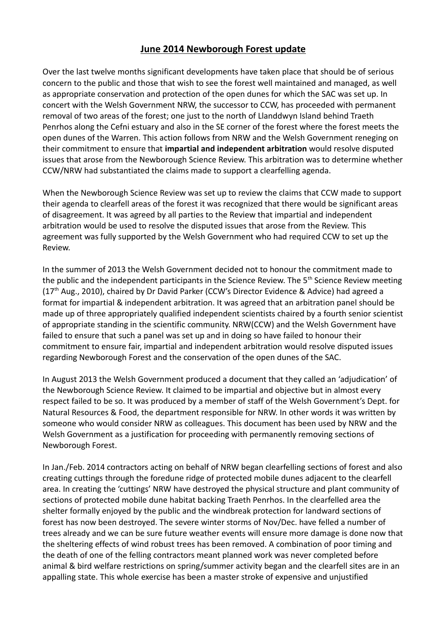## **June 2014 Newborough Forest update**

Over the last twelve months significant developments have taken place that should be of serious concern to the public and those that wish to see the forest well maintained and managed, as well as appropriate conservation and protection of the open dunes for which the SAC was set up. In concert with the Welsh Government NRW, the successor to CCW, has proceeded with permanent removal of two areas of the forest; one just to the north of Llanddwyn Island behind Traeth Penrhos along the Cefni estuary and also in the SE corner of the forest where the forest meets the open dunes of the Warren. This action follows from NRW and the Welsh Government reneging on their commitment to ensure that **impartial and independent arbitration** would resolve disputed issues that arose from the Newborough Science Review. This arbitration was to determine whether CCW/NRW had substantiated the claims made to support a clearfelling agenda.

When the Newborough Science Review was set up to review the claims that CCW made to support their agenda to clearfell areas of the forest it was recognized that there would be significant areas of disagreement. It was agreed by all parties to the Review that impartial and independent arbitration would be used to resolve the disputed issues that arose from the Review. This agreement was fully supported by the Welsh Government who had required CCW to set up the Review.

In the summer of 2013 the Welsh Government decided not to honour the commitment made to the public and the independent participants in the Science Review. The 5<sup>th</sup> Science Review meeting  $(17<sup>th</sup>$  Aug., 2010), chaired by Dr David Parker (CCW's Director Evidence & Advice) had agreed a format for impartial & independent arbitration. It was agreed that an arbitration panel should be made up of three appropriately qualified independent scientists chaired by a fourth senior scientist of appropriate standing in the scientific community. NRW(CCW) and the Welsh Government have failed to ensure that such a panel was set up and in doing so have failed to honour their commitment to ensure fair, impartial and independent arbitration would resolve disputed issues regarding Newborough Forest and the conservation of the open dunes of the SAC.

In August 2013 the Welsh Government produced a document that they called an 'adjudication' of the Newborough Science Review. It claimed to be impartial and objective but in almost every respect failed to be so. It was produced by a member of staff of the Welsh Government's Dept. for Natural Resources & Food, the department responsible for NRW. In other words it was written by someone who would consider NRW as colleagues. This document has been used by NRW and the Welsh Government as a justification for proceeding with permanently removing sections of Newborough Forest.

In Jan./Feb. 2014 contractors acting on behalf of NRW began clearfelling sections of forest and also creating cuttings through the foredune ridge of protected mobile dunes adjacent to the clearfell area. In creating the 'cuttings' NRW have destroyed the physical structure and plant community of sections of protected mobile dune habitat backing Traeth Penrhos. In the clearfelled area the shelter formally enjoyed by the public and the windbreak protection for landward sections of forest has now been destroyed. The severe winter storms of Nov/Dec. have felled a number of trees already and we can be sure future weather events will ensure more damage is done now that the sheltering effects of wind robust trees has been removed. A combination of poor timing and the death of one of the felling contractors meant planned work was never completed before animal & bird welfare restrictions on spring/summer activity began and the clearfell sites are in an appalling state. This whole exercise has been a master stroke of expensive and unjustified